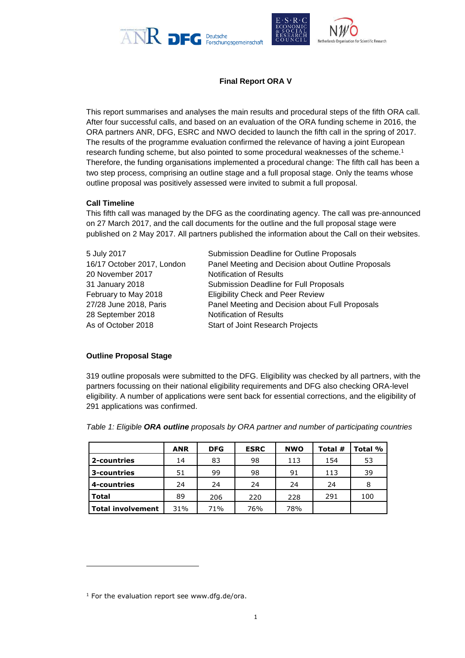



# **Final Report ORA V**

This report summarises and analyses the main results and procedural steps of the fifth ORA call. After four successful calls, and based on an evaluation of the ORA funding scheme in 2016, the ORA partners ANR, DFG, ESRC and NWO decided to launch the fifth call in the spring of 2017. The results of the programme evaluation confirmed the relevance of having a joint European research funding scheme, but also pointed to some procedural weaknesses of the scheme.<sup>1</sup> Therefore, the funding organisations implemented a procedural change: The fifth call has been a two step process, comprising an outline stage and a full proposal stage. Only the teams whose outline proposal was positively assessed were invited to submit a full proposal.

### **Call Timeline**

This fifth call was managed by the DFG as the coordinating agency. The call was pre-announced on 27 March 2017, and the call documents for the outline and the full proposal stage were published on 2 May 2017. All partners published the information about the Call on their websites.

| 5 July 2017                | Submission Deadline for Outline Proposals          |
|----------------------------|----------------------------------------------------|
| 16/17 October 2017, London | Panel Meeting and Decision about Outline Proposals |
| 20 November 2017           | <b>Notification of Results</b>                     |
| 31 January 2018            | Submission Deadline for Full Proposals             |
| February to May 2018       | <b>Eligibility Check and Peer Review</b>           |
| 27/28 June 2018, Paris     | Panel Meeting and Decision about Full Proposals    |
| 28 September 2018          | <b>Notification of Results</b>                     |
| As of October 2018         | Start of Joint Research Projects                   |

#### **Outline Proposal Stage**

1

319 outline proposals were submitted to the DFG. Eligibility was checked by all partners, with the partners focussing on their national eligibility requirements and DFG also checking ORA-level eligibility. A number of applications were sent back for essential corrections, and the eligibility of 291 applications was confirmed.

|                          | <b>ANR</b> | <b>DFG</b> | <b>ESRC</b> | <b>NWO</b> | Total # | Total % |
|--------------------------|------------|------------|-------------|------------|---------|---------|
| 2-countries              | 14         | 83         | 98          | 113        | 154     | 53      |
| 3-countries              | 51         | 99         | 98          | 91         | 113     | 39      |
| 4-countries              | 24         | 24         | 24          | 24         | 24      | 8       |
| <b>Total</b>             | 89         | 206        | 220         | 228        | 291     | 100     |
| <b>Total involvement</b> | 31%        | 71%        | 76%         | 78%        |         |         |

*Table 1: Eligible ORA outline proposals by ORA partner and number of participating countries*

 $1$  For the evaluation report see [www.dfg.de/ora.](http://www.dfg.de/ora)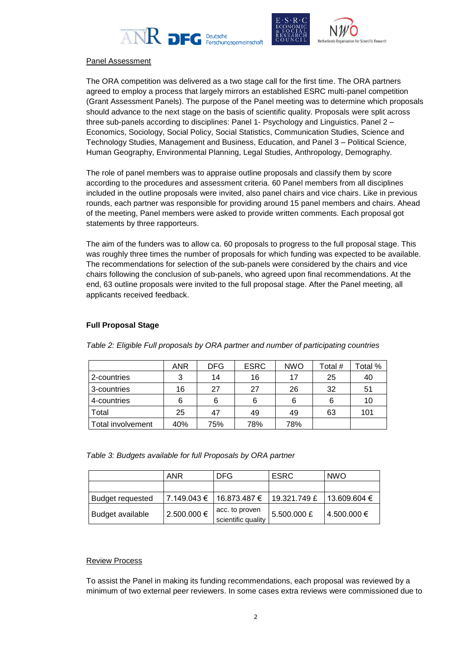





#### Panel Assessment

The ORA competition was delivered as a two stage call for the first time. The ORA partners agreed to employ a process that largely mirrors an established ESRC multi-panel competition (Grant Assessment Panels). The purpose of the Panel meeting was to determine which proposals should advance to the next stage on the basis of scientific quality. Proposals were split across three sub-panels according to disciplines: Panel 1- Psychology and Linguistics. Panel 2 – Economics, Sociology, Social Policy, Social Statistics, Communication Studies, Science and Technology Studies, Management and Business, Education, and Panel 3 – Political Science, Human Geography, Environmental Planning, Legal Studies, Anthropology, Demography.

The role of panel members was to appraise outline proposals and classify them by score according to the procedures and assessment criteria. 60 Panel members from all disciplines included in the outline proposals were invited, also panel chairs and vice chairs. Like in previous rounds, each partner was responsible for providing around 15 panel members and chairs. Ahead of the meeting, Panel members were asked to provide written comments. Each proposal got statements by three rapporteurs.

The aim of the funders was to allow ca. 60 proposals to progress to the full proposal stage. This was roughly three times the number of proposals for which funding was expected to be available. The recommendations for selection of the sub-panels were considered by the chairs and vice chairs following the conclusion of sub-panels, who agreed upon final recommendations. At the end, 63 outline proposals were invited to the full proposal stage. After the Panel meeting, all applicants received feedback.

### **Full Proposal Stage**

|                   | <b>ANR</b> | <b>DFG</b> | <b>ESRC</b> | <b>NWO</b> | Total # | Total % |
|-------------------|------------|------------|-------------|------------|---------|---------|
| 2-countries       | 3          | 14         | 16          | 17         | 25      | 40      |
| 3-countries       | 16         | 27         | 27          | 26         | 32      | 51      |
| 4-countries       | 6          | 6          | 6           | 6          |         | 10      |
| Total             | 25         | 47         | 49          | 49         | 63      | 101     |
| Total involvement | 40%        | 75%        | 78%         | 78%        |         |         |

*Table 2: Eligible Full proposals by ORA partner and number of participating countries*

*Table 3: Budgets available for full Proposals by ORA partner*

|                         | ANR             | DFG.                                 | <b>ESRC</b>  | <b>NWO</b>       |
|-------------------------|-----------------|--------------------------------------|--------------|------------------|
|                         |                 |                                      |              |                  |
| <b>Budget requested</b> | 7.149.043 €     | 16.873.487 €                         | 19.321.749 £ | $13.609.604 \in$ |
| Budget available        | $2.500.000 \in$ | acc. to proven<br>scientific quality | 5.500.000 £  | 4.500.000 €      |

#### Review Process

To assist the Panel in making its funding recommendations, each proposal was reviewed by a minimum of two external peer reviewers. In some cases extra reviews were commissioned due to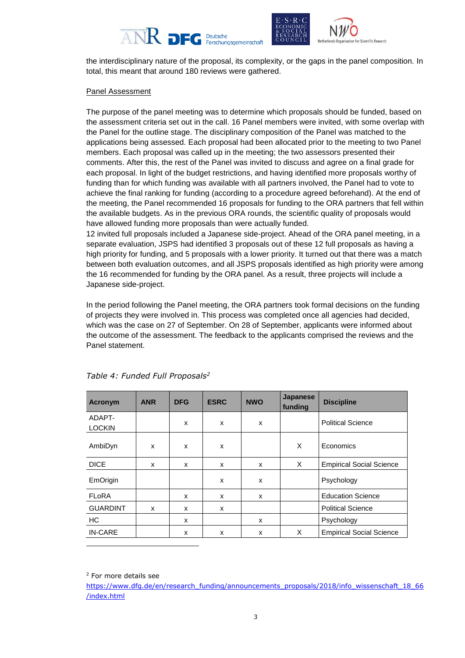





the interdisciplinary nature of the proposal, its complexity, or the gaps in the panel composition. In total, this meant that around 180 reviews were gathered.

## Panel Assessment

The purpose of the panel meeting was to determine which proposals should be funded, based on the assessment criteria set out in the call. 16 Panel members were invited, with some overlap with the Panel for the outline stage. The disciplinary composition of the Panel was matched to the applications being assessed. Each proposal had been allocated prior to the meeting to two Panel members. Each proposal was called up in the meeting; the two assessors presented their comments. After this, the rest of the Panel was invited to discuss and agree on a final grade for each proposal. In light of the budget restrictions, and having identified more proposals worthy of funding than for which funding was available with all partners involved, the Panel had to vote to achieve the final ranking for funding (according to a procedure agreed beforehand). At the end of the meeting, the Panel recommended 16 proposals for funding to the ORA partners that fell within the available budgets. As in the previous ORA rounds, the scientific quality of proposals would have allowed funding more proposals than were actually funded.

12 invited full proposals included a Japanese side-project. Ahead of the ORA panel meeting, in a separate evaluation, JSPS had identified 3 proposals out of these 12 full proposals as having a high priority for funding, and 5 proposals with a lower priority. It turned out that there was a match between both evaluation outcomes, and all JSPS proposals identified as high priority were among the 16 recommended for funding by the ORA panel. As a result, three projects will include a Japanese side-project.

In the period following the Panel meeting, the ORA partners took formal decisions on the funding of projects they were involved in. This process was completed once all agencies had decided, which was the case on 27 of September. On 28 of September, applicants were informed about the outcome of the assessment. The feedback to the applicants comprised the reviews and the Panel statement.

| <b>Acronym</b>          | <b>ANR</b> | <b>DFG</b> | <b>ESRC</b>  | <b>NWO</b>   | <b>Japanese</b><br>funding | <b>Discipline</b>               |
|-------------------------|------------|------------|--------------|--------------|----------------------------|---------------------------------|
| ADAPT-<br><b>LOCKIN</b> |            | X          | x            | x            |                            | <b>Political Science</b>        |
| AmbiDyn                 | X          | X          | x            |              | X                          | Economics                       |
| <b>DICE</b>             | x          | X          | $\mathsf{x}$ | $\mathsf{x}$ | X                          | <b>Empirical Social Science</b> |
| EmOrigin                |            |            | x            | x            |                            | Psychology                      |
| <b>FLoRA</b>            |            | X          | $\mathsf{x}$ | X            |                            | <b>Education Science</b>        |
| <b>GUARDINT</b>         | x          | X          | x            |              |                            | <b>Political Science</b>        |
| HC                      |            | X          |              | X            |                            | Psychology                      |
| <b>IN-CARE</b>          |            | X          | X            | $\mathsf{x}$ | X                          | <b>Empirical Social Science</b> |

*Table 4: Funded Full Proposals<sup>2</sup>*

-

<sup>2</sup> For more details see

[https://www.dfg.de/en/research\\_funding/announcements\\_proposals/2018/info\\_wissenschaft\\_18\\_66](https://www.dfg.de/en/research_funding/announcements_proposals/2018/info_wissenschaft_18_66/index.html) [/index.html](https://www.dfg.de/en/research_funding/announcements_proposals/2018/info_wissenschaft_18_66/index.html)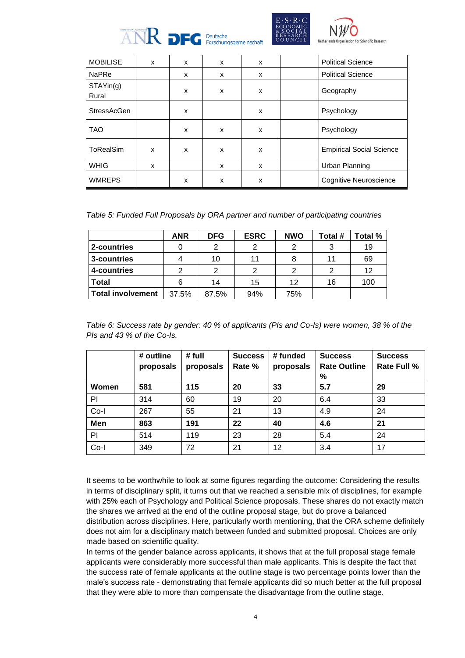



for Scientific Research

| <b>MOBILISE</b>    | x | x | x | $\mathsf{x}$ | <b>Political Science</b>        |
|--------------------|---|---|---|--------------|---------------------------------|
| <b>NaPRe</b>       |   | x | x | X            | <b>Political Science</b>        |
| STAYin(g)<br>Rural |   | x | x | x            | Geography                       |
| <b>StressAcGen</b> |   | X |   | X            | Psychology                      |
| <b>TAO</b>         |   | X | x | x            | Psychology                      |
| ToRealSim          | X | x | x | X            | <b>Empirical Social Science</b> |
| <b>WHIG</b>        | x |   | x | x            | Urban Planning                  |
| <b>WMREPS</b>      |   | x | x | X            | Cognitive Neuroscience          |

*Table 5: Funded Full Proposals by ORA partner and number of participating countries*

|                          | <b>ANR</b> | <b>DFG</b>    | <b>ESRC</b> | <b>NWO</b> | Total # | Total % |
|--------------------------|------------|---------------|-------------|------------|---------|---------|
| 2-countries              |            | $\mathcal{P}$ | າ           | າ          | 3       | 19      |
| 3-countries              |            | 10            | 11          |            | 11      | 69      |
| 4-countries              | ົ          | $\mathcal{P}$ |             | າ          | ົ       | 12      |
| <b>Total</b>             |            | 14            | 15          | 12         | 16      | 100     |
| <b>Total involvement</b> | 37.5%      | 87.5%         | 94%         | 75%        |         |         |

*Table 6: Success rate by gender: 40 % of applicants (PIs and Co-Is) were women, 38 % of the PIs and 43 % of the Co-Is.*

|        | # outline<br>proposals | # full<br>proposals | <b>Success</b><br>Rate % | # funded<br>proposals | <b>Success</b><br><b>Rate Outline</b><br>% | <b>Success</b><br><b>Rate Full %</b> |
|--------|------------------------|---------------------|--------------------------|-----------------------|--------------------------------------------|--------------------------------------|
| Women  | 581                    | 115                 | 20                       | 33                    | 5.7                                        | 29                                   |
| PI     | 314                    | 60                  | 19                       | 20                    | 6.4                                        | 33                                   |
| $Co-I$ | 267                    | 55                  | 21                       | 13                    | 4.9                                        | 24                                   |
| Men    | 863                    | 191                 | 22                       | 40                    | 4.6                                        | 21                                   |
| PI     | 514                    | 119                 | 23                       | 28                    | 5.4                                        | 24                                   |
| $Co-I$ | 349                    | 72                  | 21                       | 12                    | 3.4                                        | 17                                   |

It seems to be worthwhile to look at some figures regarding the outcome: Considering the results in terms of disciplinary split, it turns out that we reached a sensible mix of disciplines, for example with 25% each of Psychology and Political Science proposals. These shares do not exactly match the shares we arrived at the end of the outline proposal stage, but do prove a balanced distribution across disciplines. Here, particularly worth mentioning, that the ORA scheme definitely does not aim for a disciplinary match between funded and submitted proposal. Choices are only made based on scientific quality.

In terms of the gender balance across applicants, it shows that at the full proposal stage female applicants were considerably more successful than male applicants. This is despite the fact that the success rate of female applicants at the outline stage is two percentage points lower than the male's success rate - demonstrating that female applicants did so much better at the full proposal that they were able to more than compensate the disadvantage from the outline stage.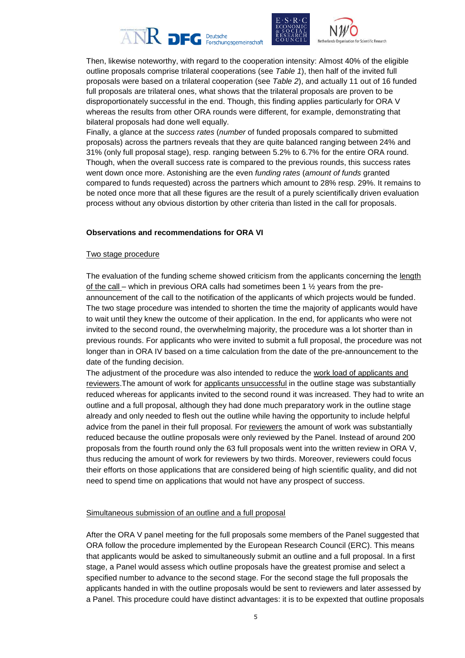





Then, likewise noteworthy, with regard to the cooperation intensity: Almost 40% of the eligible outline proposals comprise trilateral cooperations (see *Table 1*), then half of the invited full proposals were based on a trilateral cooperation (see *Table 2*), and actually 11 out of 16 funded full proposals are trilateral ones, what shows that the trilateral proposals are proven to be disproportionately successful in the end. Though, this finding applies particularly for ORA V whereas the results from other ORA rounds were different, for example, demonstrating that bilateral proposals had done well equally.

Finally, a glance at the *success rates* (*number* of funded proposals compared to submitted proposals) across the partners reveals that they are quite balanced ranging between 24% and 31% (only full proposal stage), resp. ranging between 5.2% to 6.7% for the entire ORA round. Though, when the overall success rate is compared to the previous rounds, this success rates went down once more. Astonishing are the even *funding rates* (*amount of funds* granted compared to funds requested) across the partners which amount to 28% resp. 29%. It remains to be noted once more that all these figures are the result of a purely scientifically driven evaluation process without any obvious distortion by other criteria than listed in the call for proposals.

#### **Observations and recommendations for ORA VI**

#### Two stage procedure

The evaluation of the funding scheme showed criticism from the applicants concerning the length of the call – which in previous ORA calls had sometimes been 1  $\frac{1}{2}$  years from the preannouncement of the call to the notification of the applicants of which projects would be funded. The two stage procedure was intended to shorten the time the majority of applicants would have to wait until they knew the outcome of their application. In the end, for applicants who were not invited to the second round, the overwhelming majority, the procedure was a lot shorter than in previous rounds. For applicants who were invited to submit a full proposal, the procedure was not longer than in ORA IV based on a time calculation from the date of the pre-announcement to the date of the funding decision.

The adjustment of the procedure was also intended to reduce the work load of applicants and reviewers.The amount of work for applicants unsuccessful in the outline stage was substantially reduced whereas for applicants invited to the second round it was increased. They had to write an outline and a full proposal, although they had done much preparatory work in the outline stage already and only needed to flesh out the outline while having the opportunity to include helpful advice from the panel in their full proposal. For reviewers the amount of work was substantially reduced because the outline proposals were only reviewed by the Panel. Instead of around 200 proposals from the fourth round only the 63 full proposals went into the written review in ORA V, thus reducing the amount of work for reviewers by two thirds. Moreover, reviewers could focus their efforts on those applications that are considered being of high scientific quality, and did not need to spend time on applications that would not have any prospect of success.

# Simultaneous submission of an outline and a full proposal

After the ORA V panel meeting for the full proposals some members of the Panel suggested that ORA follow the procedure implemented by the European Research Council (ERC). This means that applicants would be asked to simultaneously submit an outline and a full proposal. In a first stage, a Panel would assess which outline proposals have the greatest promise and select a specified number to advance to the second stage. For the second stage the full proposals the applicants handed in with the outline proposals would be sent to reviewers and later assessed by a Panel. This procedure could have distinct advantages: it is to be expexted that outline proposals